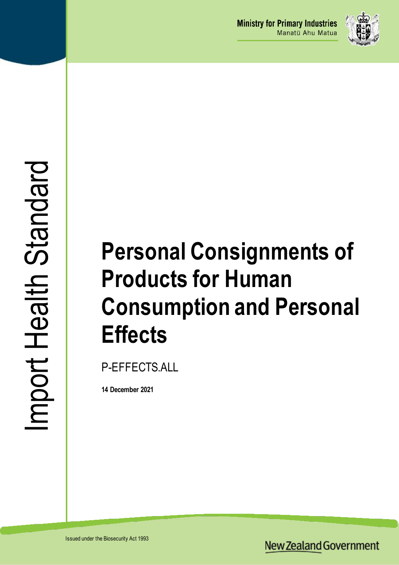

# **Personal Consignments of Products for Human Consumption and Personal Effects**

P-EFFECTS.ALL

**14 December 2021**

**New Zealand Government**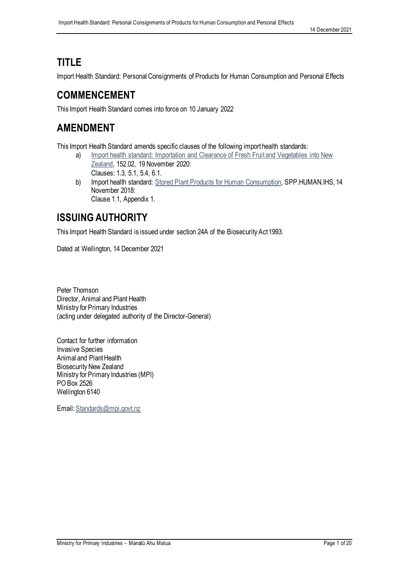# **TITLE**

Import Health Standard: Personal Consignments of Products for Human Consumption and Personal Effects

### **COMMENCEMENT**

This Import Health Standard comes into force on 10 January 2022

### **AMENDMENT**

This Import Health Standard amends specific clauses of the following import health standards:

- a) Import health standard: Importation and Clearance of Fresh Fruit and Vegetables into New [Zealand,](https://www.mpi.govt.nz/dmsdocument/1147/direct) 152.02, 19 November 2020:
	- Clauses: 1.3, 5.1, 5.4, 6.1.
- b) Import health standard: [Stored Plant Products for Human Consumption,](https://www.mpi.govt.nz/dmsdocument/1663/direct) SPP.HUMAN.IHS, 14 November 2018: Clause 1.1, Appendix 1.

# **ISSUING AUTHORITY**

This Import Health Standard is issued under section 24A of the Biosecurity Act 1993.

Dated at Wellington, 14 December 2021

Peter Thomson Director, Animal and Plant Health Ministry for Primary Industries (acting under delegated authority of the Director-General)

Contact for further information Invasive Species Animal and Plant Health Biosecurity New Zealand Ministry for Primary Industries (MPI) PO Box 2526 Wellington 6140

Email[: Standards@mpi.govt.nz](mailto:Standards@mpi.govt.nz)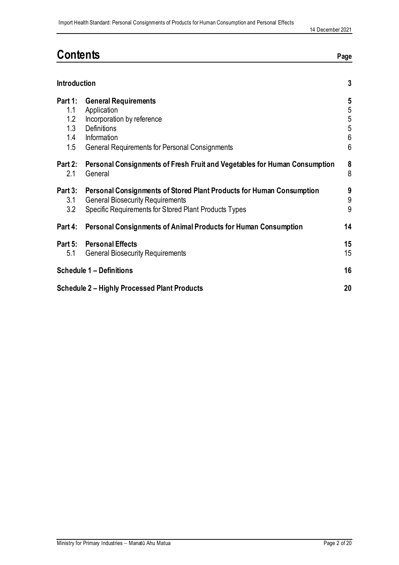# **Contents Page**

|                                            | <b>Introduction</b>                                                                                                                                                      |                                                                           |  |
|--------------------------------------------|--------------------------------------------------------------------------------------------------------------------------------------------------------------------------|---------------------------------------------------------------------------|--|
| Part 1:<br>1.1<br>1.2<br>1.3<br>1.4<br>1.5 | <b>General Requirements</b><br>Application<br>Incorporation by reference<br>Definitions<br>Information<br><b>General Requirements for Personal Consignments</b>          | $5\phantom{.0}$<br>5<br>$\frac{5}{5}$<br>$6\phantom{a}$<br>$6\phantom{1}$ |  |
| Part 2:<br>2.1                             | Personal Consignments of Fresh Fruit and Vegetables for Human Consumption<br>General                                                                                     | 8<br>8                                                                    |  |
| Part 3:<br>3.1<br>3.2                      | Personal Consignments of Stored Plant Products for Human Consumption<br><b>General Biosecurity Requirements</b><br>Specific Requirements for Stored Plant Products Types | 9<br>$\boldsymbol{9}$<br>9                                                |  |
| Part 4:                                    | <b>Personal Consignments of Animal Products for Human Consumption</b>                                                                                                    | 14                                                                        |  |
| 5.1                                        | Part 5: Personal Effects<br><b>General Biosecurity Requirements</b>                                                                                                      | 15 <sub>1</sub><br>15 <sub>2</sub>                                        |  |
|                                            | <b>Schedule 1 - Definitions</b>                                                                                                                                          |                                                                           |  |
|                                            | <b>Schedule 2 – Highly Processed Plant Products</b>                                                                                                                      |                                                                           |  |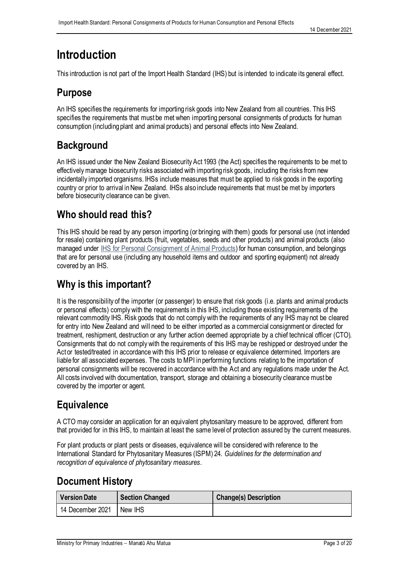# <span id="page-3-0"></span>**Introduction**

This introduction is not part of the Import Health Standard (IHS) but is intended to indicate its general effect.

### **Purpose**

An IHS specifies the requirements for importing risk goods into New Zealand from all countries. This IHS specifies the requirements that must be met when importing personal consignments of products for human consumption (including plant and animal products) and personal effects into New Zealand.

# **Background**

An IHS issued under the New Zealand Biosecurity Act 1993 (the Act) specifies the requirements to be met to effectively manage biosecurity risks associated with importing risk goods, including the risks from new incidentally imported organisms. IHSs include measures that must be applied to risk goods in the exporting country or prior to arrival in New Zealand. IHSs also include requirements that must be met by importers before biosecurity clearance can be given.

# **Who should read this?**

This IHS should be read by any person importing (or bringing with them) goods for personal use (not intended for resale) containing plant products (fruit, vegetables, seeds and other products) and animal products (also managed under IHS for [Personal Consignment of Animal Products\)](https://www.mpi.govt.nz/dmsdocument/39272/direct) for human consumption, and belongings that are for personal use (including any household items and outdoor and sporting equipment) not already covered by an IHS.

# **Why is this important?**

It is the responsibility of the importer (or passenger) to ensure that risk goods (i.e. plants and animal products or personal effects) comply with the requirements in this IHS, including those existing requirements of the relevant commodity IHS. Risk goods that do not comply with the requirements of any IHS may not be cleared for entry into New Zealand and will need to be either imported as a commercial consignment or directed for treatment, reshipment, destruction or any further action deemed appropriate by a chief technical officer (CTO). Consignments that do not comply with the requirements of this IHS may be reshipped or destroyed under the Act or tested/treated in accordance with this IHS prior to release or equivalence determined. Importers are liable for all associated expenses. The costs to MPI in performing functions relating to the importation of personal consignments will be recovered in accordance with the Act and any regulations made under the Act. All costs involved with documentation, transport, storage and obtaining a biosecurity clearance must be covered by the importer or agent.

# **Equivalence**

A CTO may consider an application for an equivalent phytosanitary measure to be approved, different from that provided for in this IHS, to maintain at least the same level of protection assured by the current measures.

For plant products or plant pests or diseases, equivalence will be considered with reference to the International Standard for Phytosanitary Measures (ISPM) 24. *Guidelines for the determination and recognition of equivalence of phytosanitary measures.*

### **Document History**

| <b>Version Date</b> | <b>Section Changed</b> | <b>Change(s) Description</b> |
|---------------------|------------------------|------------------------------|
| 14 December 2021    | New IHS                |                              |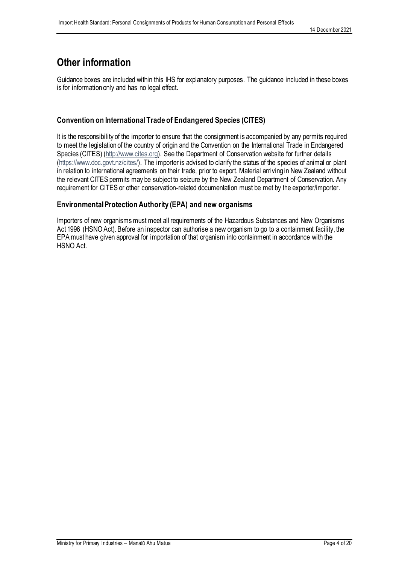### **Other information**

Guidance boxes are included within this IHS for explanatory purposes. The guidance included in these boxes is for information only and has no legal effect.

#### **Convention on International Trade of Endangered Species (CITES)**

It is the responsibility of the importer to ensure that the consignment is accompanied by any permits required to meet the legislation of the country of origin and the Convention on the International Trade in Endangered Species (CITES) [\(http://www.cites.org\).](http://www.cites.org/) See the Department of Conservation website for further details [\(https://www.doc.govt.nz/cites/\)](https://www.doc.govt.nz/cites/). The importer is advised to clarify the status of the species of animal or plant in relation to international agreements on their trade, prior to export. Material arriving in New Zealand without the relevant CITES permits may be subject to seizure by the New Zealand Department of Conservation. Any requirement for CITES or other conservation-related documentation must be met by the exporter/importer.

#### **Environmental Protection Authority (EPA) and new organisms**

Importers of new organisms must meet all requirements of the Hazardous Substances and New Organisms Act 1996 (HSNO Act). Before an inspector can authorise a new organism to go to a containment facility, the EPA must have given approval for importation of that organism into containment in accordance with the HSNO Act.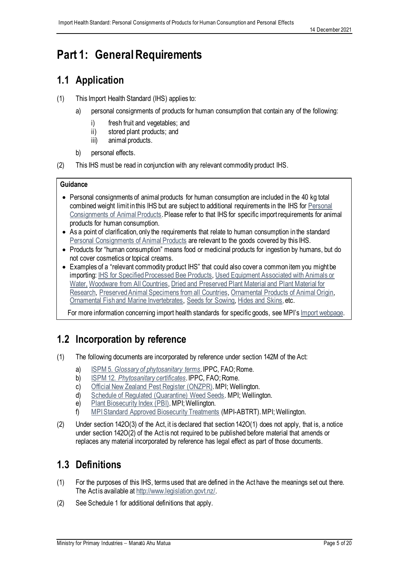# <span id="page-5-0"></span>**Part 1: General Requirements**

### <span id="page-5-1"></span>**1.1 Application**

- (1) This Import Health Standard (IHS) applies to:
	- a) personal consignments of products for human consumption that contain any of the following:
		- i) fresh fruit and vegetables; and
		- ii) stored plant products; and
		- iii) animal products.
	- b) personal effects.
- (2) This IHS must be read in conjunction with any relevant commodity product IHS.

#### **Guidance**

- Personal consignments of animal products for human consumption are included in the 40 kg total combined weight limit in this IHS but are subject to additional requirements in the IHS for Personal [Consignments of Animal Products.](https://www.mpi.govt.nz/dmsdocument/39272/direct) Please refer to that IHS for specific import requirements for animal products for human consumption.
- As a point of clarification, only the requirements that relate to human consumption in the standard Personal [Consignments of Animal Products](https://www.mpi.govt.nz/dmsdocument/39272/direct) are relevant to the goods covered by this IHS.
- Products for "human consumption" means food or medicinal products for ingestion by humans, but do not cover cosmetics or topical creams.
- Examples of a "relevant commodity product IHS" that could also cover a common item you might be importing: [IHS for Specified Processed Bee Products,](https://www.mpi.govt.nz/dmsdocument/1176/direct) Used Equipment Associated with Animals or [Water,](https://www.mpi.govt.nz/dmsdocument/1157-Used-equipment-associated-with-animals-or-water-Import-Health-Standard) [Woodware from All Countries,](https://www.mpi.govt.nz/dmsdocument/1221/direct) [Dried and Preserved Plant Material and Plant Material for](https://www.mpi.govt.nz/dmsdocument/1653/direct)  [Research,](https://www.mpi.govt.nz/dmsdocument/1653/direct) [Preserved Animal Specimens from all Countries,](https://www.mpi.govt.nz/dmsdocument/1840/direct) [Ornamental Products of Animal Origin,](https://www.mpi.govt.nz/dmsdocument/1846/direct) [Ornamental Fish and Marine Invertebrates,](https://www.mpi.govt.nz/dmsdocument/17425/direct) [Seeds for Sowing,](https://www.mpi.govt.nz/dmsdocument/1151/direct) [Hides and Skins](https://www.mpi.govt.nz/dmsdocument/1819-Hides-and-Skins-Import-Health-Standard), etc.

For more information concerning import health standards for specific goods, see MPI's [Import webp](https://www.mpi.govt.nz/import/)age.

### <span id="page-5-2"></span>**1.2 Incorporation by reference**

- (1) The following documents are incorporated by reference under section 142M of the Act:
	- a) ISPM 5. *[Glossary of phytosanitary terms](https://assets.ippc.int/static/media/files/publication/en/2019/06/ISPM_05_2019_En_Glossary_2019-06-26_PostCPM-14-Fixed.pdf)*. IPPC, FAO; Rome.
	- b) ISPM 12. *[Phytosanitary certificates](https://assets.ippc.int/static/media/files/publication/en/2017/10/ISPM_12_2014_En_2017-10-26_InkAm.pdf)*. IPPC, FAO; Rome.
	- c) [Official New Zealand Pest Register](https://pierpestregister.mpi.govt.nz/Home/) (ONZPR). MPI; Wellington.
	- d) [Schedule of Regulated \(Quarantine\) Weed Seeds.](https://www.mpi.govt.nz/dmsdocument/7111/direct) MPI; Wellington.
	- e) [Plant Biosecurity Index \(PBI\).](https://www1.maf.govt.nz/cgi-bin/bioindex/bioindex.pl) MPI; Wellington.
	- f) [MPI Standard Approved Biosecurity Treatments](https://www.mpi.govt.nz/dmsdocument/1555/direct) (MPI-ABTRT). MPI; Wellington.
- (2) Under section 142O(3) of the Act, it is declared that section 142O(1) does not apply, that is, a notice under section 142O(2) of the Act is not required to be published before material that amends or replaces any material incorporated by reference has legal effect as part of those documents.

### <span id="page-5-3"></span>**1.3 Definitions**

- (1) For the purposes of this IHS, terms used that are defined in the Act have the meanings set out there. The Act is available at [http://www.legislation.govt.nz/.](http://www.legislation.govt.nz/)
- (2) See Schedule 1 for additional definitions that apply.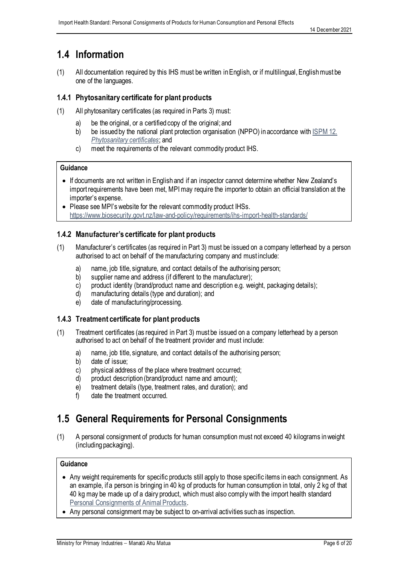### <span id="page-6-0"></span>**1.4 Information**

(1) All documentation required by this IHS must be written in English, or if multilingual, English must be one of the languages.

#### **1.4.1 Phytosanitary certificate for plant products**

- (1) All phytosanitary certificates (as required in Parts 3) must:
	- a) be the original, or a certified copy of the original; and
	- b) be issued by the national plant protection organisation (NPPO) in accordance with ISPM 12. *[Phytosanitary certificates](https://assets.ippc.int/static/media/files/publication/en/2017/10/ISPM_12_2014_En_2017-10-26_InkAm.pdf)*; and
	- c) meet the requirements of the relevant commodity product IHS.

#### **Guidance**

- If documents are not written in English and if an inspector cannot determine whether New Zealand's import requirements have been met, MPI may require the importer to obtain an official translation at the importer's expense.
- Please see MPI's website for the relevant commodity product IHSs. <https://www.biosecurity.govt.nz/law-and-policy/requirements/ihs-import-health-standards/>

#### **1.4.2 Manufacturer's certificate for plant products**

- (1) Manufacturer's certificates (as required in Part 3) must be issued on a company letterhead by a person authorised to act on behalf of the manufacturing company and must include:
	- a) name, job title, signature, and contact details of the authorising person;
	- b) supplier name and address (if different to the manufacturer);
	- c) product identity (brand/product name and description e.g. weight, packaging details);
	- d) manufacturing details (type and duration); and
	- e) date of manufacturing/processing.

#### **1.4.3 Treatment certificate for plant products**

- (1) Treatment certificates (as required in Part 3) must be issued on a company letterhead by a person authorised to act on behalf of the treatment provider and must include:
	- a) name, job title, signature, and contact details of the authorising person;
	- b) date of issue;
	- c) physical address of the place where treatment occurred;
	- d) product description (brand/product name and amount);
	- e) treatment details (type, treatment rates, and duration); and
	- f) date the treatment occurred.

### <span id="page-6-1"></span>**1.5 General Requirements for Personal Consignments**

(1) A personal consignment of products for human consumption must not exceed 40 kilograms in weight (including packaging).

#### **Guidance**

- Any weight requirements for specific products still apply to those specific items in each consignment. As an example, if a person is bringing in 40 kg of products for human consumption in total, only 2 kg of that 40 kg may be made up of a dairy product, which must also comply with the import health standard [Personal Consignments of Animal Products.](https://www.mpi.govt.nz/dmsdocument/39272/direct)
- Any personal consignment may be subject to on-arrival activities such as inspection.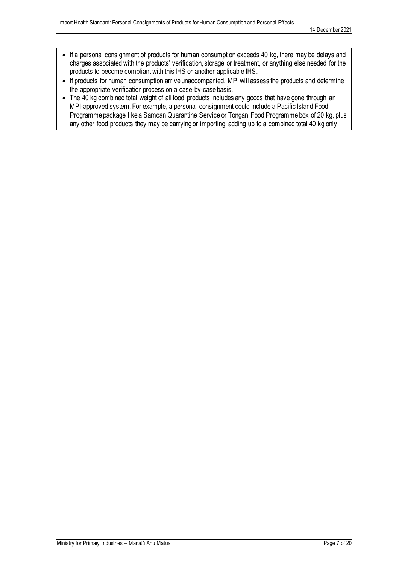- If a personal consignment of products for human consumption exceeds 40 kg, there may be delays and charges associated with the products' verification, storage or treatment, or anything else needed for the products to become compliant with this IHS or another applicable IHS.
- If products for human consumption arrive unaccompanied, MPI will assess the products and determine the appropriate verification process on a case-by-case basis.
- The 40 kg combined total weight of all food products includes any goods that have gone through an MPI-approved system. For example, a personal consignment could include a Pacific Island Food Programme package like a Samoan Quarantine Service or Tongan Food Programme box of 20 kg, plus any other food products they may be carrying or importing, adding up to a combined total 40 kg only.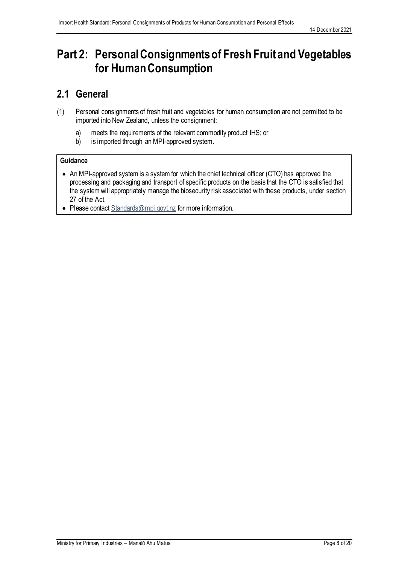# <span id="page-8-0"></span>**Part 2: PersonalConsignments of Fresh Fruit and Vegetables for Human Consumption**

### <span id="page-8-1"></span>**2.1 General**

- (1) Personal consignments of fresh fruit and vegetables for human consumption are not permitted to be imported into New Zealand, unless the consignment:
	- a) meets the requirements of the relevant commodity product IHS; or
	- b) is imported through an MPI-approved system.

#### **Guidance**

- An MPI-approved system is a system for which the chief technical officer (CTO) has approved the processing and packaging and transport of specific products on the basis that the CTO is satisfied that the system will appropriately manage the biosecurity risk associated with these products, under section 27 of the Act.
- Please contac[t Standards@mpi.govt.nz](mailto:Standards@mpi.govt.nz) for more information.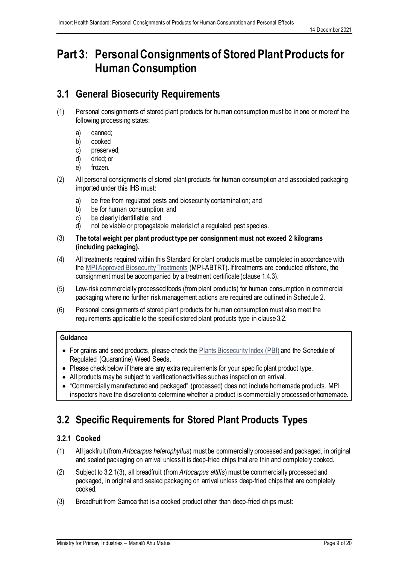# <span id="page-9-0"></span>**Part 3: Personal Consignments of Stored Plant Products for Human Consumption**

### <span id="page-9-1"></span>**3.1 General Biosecurity Requirements**

- (1) Personal consignments of stored plant products for human consumption must be in one or more of the following processing states:
	- a) canned;
	- b) cooked
	- c) preserved;
	- d) dried; or
	- e) frozen.
- (2) All personal consignments of stored plant products for human consumption and associated packaging imported under this IHS must:
	- a) be free from regulated pests and biosecurity contamination; and
	- b) be for human consumption; and
	- c) be clearly identifiable; and
	- d) not be viable or propagatable material of a regulated pest species.
- (3) **The total weight per plant product type per consignment must not exceed 2 kilograms (including packaging).**
- (4) All treatments required within this Standard for plant products must be completed in accordance with the [MPI Approved Biosecurity Treatments](https://www.mpi.govt.nz/dmsdocument/1555/direct) (MPI-ABTRT). If treatments are conducted offshore, the consignment must be accompanied by a treatment certificate (clause 1.4.3).
- (5) Low-risk commercially processed foods (from plant products) for human consumption in commercial packaging where no further risk management actions are required are outlined in Schedule 2.
- (6) Personal consignments of stored plant products for human consumption must also meet the requirements applicable to the specific stored plant products type in clause 3.2.

#### **Guidance**

- For grains and seed products, please check the **[Plants Biosecurity Index \(PBI\)](https://www1.maf.govt.nz/cgi-bin/bioindex/bioindex.pl)** and the Schedule of Regulated (Quarantine) Weed Seeds.
- Please check below if there are any extra requirements for your specific plant product type.
- All products may be subject to verification activities such as inspection on arrival.
- "Commercially manufactured and packaged" (processed) does not include homemade products. MPI inspectors have the discretion to determine whether a product is commercially processed or homemade.

### <span id="page-9-2"></span>**3.2 Specific Requirements for Stored Plant Products Types**

### **3.2.1 Cooked**

- (1) All jackfruit (from *Artocarpus heterophyllus*) must be commercially processed and packaged, in original and sealed packaging on arrival unless it is deep-fried chips that are thin and completely cooked.
- (2) Subject to 3.2.1(3), all breadfruit (from *Artocarpus altilis*) must be commercially processed and packaged, in original and sealed packaging on arrival unless deep-fried chips that are completely cooked.
- (3) Breadfruit from Samoa that is a cooked product other than deep-fried chips must: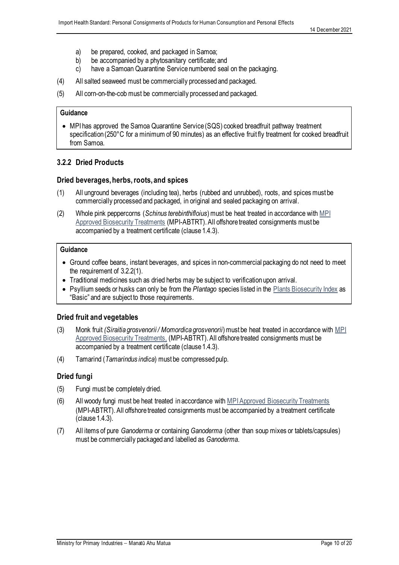- a) be prepared, cooked, and packaged in Samoa;
- b) be accompanied by a phytosanitary certificate; and
- c) have a Samoan Quarantine Service numbered seal on the packaging.
- (4) All salted seaweed must be commercially processed and packaged.
- (5) All corn-on-the-cob must be commercially processed and packaged.

#### **Guidance**

• MPI has approved the Samoa Quarantine Service (SQS) cooked breadfruit pathway treatment specification (250°C for a minimum of 90 minutes) as an effective fruit fly treatment for cooked breadfruit from Samoa.

#### **3.2.2 Dried Products**

#### **Dried beverages, herbs, roots,and spices**

- (1) All unground beverages (including tea), herbs (rubbed and unrubbed), roots, and spices must be commercially processed and packaged, in original and sealed packaging on arrival.
- (2) Whole pink peppercorns (*Schinus terebinthifloius*) must be heat treated in accordance with [MPI](https://www.mpi.govt.nz/dmsdocument/1555/direct) [Approved Biosecurity Treatments](https://www.mpi.govt.nz/dmsdocument/1555/direct) (MPI-ABTRT). All offshore treated consignments must be accompanied by a treatment certificate (clause 1.4.3).

#### **Guidance**

- Ground coffee beans, instant beverages, and spices in non-commercial packaging do not need to meet the requirement of 3.2.2(1).
- Traditional medicines such as dried herbs may be subject to verification upon arrival.
- Psyllium seeds or husks can only be from the *Plantago* species listed in the Plants [Biosecurity Index](https://www1.maf.govt.nz/cgi-bin/bioindex/bioindex.pl) as "Basic" and are subject to those requirements.

#### **Dried fruit and vegetables**

- (3) Monk fruit *(Siraitia grosvenorii / Momordica grosvenorii*) must be heat treated in accordance with [MPI](https://www.mpi.govt.nz/dmsdocument/1555/direct)  [Approved Biosecurity Treatments,](https://www.mpi.govt.nz/dmsdocument/1555/direct) (MPI-ABTRT). All offshore treated consignments must be accompanied by a treatment certificate (clause 1.4.3).
- (4) Tamarind (*Tamarindus indica*) must be compressed pulp.

#### **Dried fungi**

- (5) Fungi must be completely dried.
- (6) All woody fungi must be heat treated in accordance with [MPIApproved Biosecurity Treatments](https://www.mpi.govt.nz/dmsdocument/1555/direct) (MPI-ABTRT). All offshore treated consignments must be accompanied by a treatment certificate (clause 1.4.3).
- (7) All items of pure *Ganoderma* or containing *Ganoderma* (other than soup mixes or tablets/capsules) must be commercially packaged and labelled as *Ganoderma*.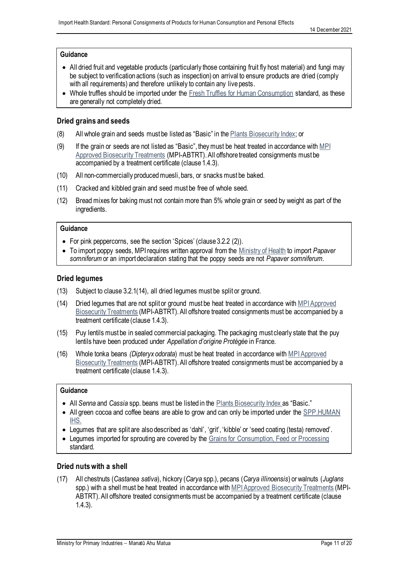#### **Guidance**

- All dried fruit and vegetable products (particularly those containing fruit fly host material) and fungi may be subject to verification actions (such as inspection) on arrival to ensure products are dried (comply with all requirements) and therefore unlikely to contain any live pests.
- Whole truffles should be imported under th[e Fresh Truffles for Human Consumption](https://www.mpi.govt.nz/dmsdocument/16813/direct) standard, as these are generally not completely dried.

#### **Dried grains and seeds**

- (8) All whole grain and seeds must be listed as "Basic" in the Plants [Biosecurity Index;](https://www1.maf.govt.nz/cgi-bin/bioindex/bioindex.pl) or
- (9) If the grain or seeds are not listed as "Basic", theymust be heat treated in accordance with [MPI](https://www.mpi.govt.nz/dmsdocument/1555/direct)  [Approved Biosecurity Treatments](https://www.mpi.govt.nz/dmsdocument/1555/direct) (MPI-ABTRT). All offshore treated consignments must be accompanied by a treatment certificate (clause 1.4.3).
- (10) All non-commercially producedmuesli, bars, or snacks must be baked.
- (11) Cracked and kibbled grain and seed must be free of whole seed.
- (12) Bread mixes for baking must not contain more than 5% whole grain or seed by weight as part of the ingredients.

#### **Guidance**

- For pink peppercorns, see the section 'Spices' (clause 3.2.2 (2)).
- To import poppy seeds, MPI requires written approval from the [Ministry of Health](https://www.health.govt.nz/about-ministry/contact-us) to import *Papaver somniferum* or an import declaration stating that the poppy seeds are not *Papaver somniferum.*

#### **Dried legumes**

- (13) Subject to clause 3.2.1(14), all dried legumes must be split or ground.
- (14) Dried legumes that are not split or ground must be heat treated in accordance with MPI Approved [Biosecurity Treatments](https://www.mpi.govt.nz/dmsdocument/1555/direct) (MPI-ABTRT). All offshore treated consignments must be accompanied by a treatment certificate (clause 1.4.3).
- (15) Puy lentils must be in sealed commercial packaging. The packaging must clearly state that the puy lentils have been produced under *Appellation d'origine Protégée* in France.
- (16) Whole tonka beans *(Dipteryx odorata*) must be heat treated in accordance with [MPI Approved](https://www.mpi.govt.nz/dmsdocument/1555/direct)  [Biosecurity Treatments](https://www.mpi.govt.nz/dmsdocument/1555/direct) (MPI-ABTRT). All offshore treated consignments must be accompanied by a treatment certificate (clause 1.4.3).

#### **Guidance**

- All *Senna* and *Cassia* spp. beans must be listed in the Plants [Biosecurity Index](https://www1.maf.govt.nz/cgi-bin/bioindex/bioindex.pl) as "Basic."
- All green cocoa and coffee beans are able to grow and can only be imported under the [SPP.HUMAN](https://www.mpi.govt.nz/dmsdocument/1663/direct) <u>IHS.</u>
- Legumes that are split are also described as 'dahl', 'grit', 'kibble' or 'seed coating (testa) removed'.
- Legumes imported for sprouting are covered by the [Grains for Consumption, Feed or Processing](http://www.mpi.govt.nz/document-vault/1661) standard.

#### **Dried nuts with a shell**

(17) All chestnuts (*Castanea sativa*), hickory (*Carya* spp.), pecans (*Carya illinoensis*) or walnuts (*Juglans* spp.) with a shell must be heat treated in accordance with [MPI Approved Biosecurity Treatments](https://www.mpi.govt.nz/dmsdocument/1555/direct) (MPI-ABTRT). All offshore treated consignments must be accompanied by a treatment certificate (clause 1.4.3).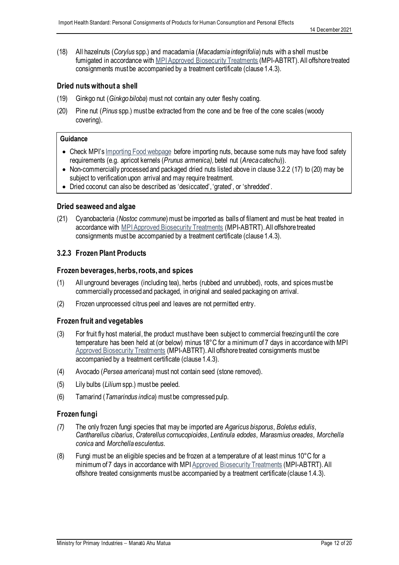(18) All hazelnuts (*Corylus* spp.) and macadamia (*Macadamia integrifolia*) nuts with a shell must be fumigated in accordance with MPI Approved Biosecurity Treatments (MPI-ABTRT). All offshore treated consignments must be accompanied by a treatment certificate (clause 1.4.3).

#### **Dried nuts without a shell**

- (19) Ginkgo nut (*Ginkgo biloba*) must not contain any outer fleshy coating.
- (20) Pine nut (*Pinus* spp.) must be extracted from the cone and be free of the cone scales (woody covering).

#### **Guidance**

- Check MPI's [Importing Food webpage](https://www.mpi.govt.nz/importing/overview/food-imports/) before importing nuts, because some nuts may have food safety requirements (e.g. apricot kernels (*Prunus armenica),* betel nut (*Areca catechu*)).
- Non-commercially processed and packaged dried nuts listed above in clause 3.2.2 (17) to (20) may be subject to verification upon arrival and may require treatment.
- Dried coconut can also be described as 'desiccated', 'grated', or 'shredded'.

#### **Dried seaweed and algae**

(21) Cyanobacteria (*Nostoc commune*) must be imported as balls of filament and must be heat treated in accordance with [MPI Approved Biosecurity Treatments](https://www.mpi.govt.nz/dmsdocument/1555/direct) (MPI-ABTRT). All offshore treated consignments must be accompanied by a treatment certificate (clause 1.4.3).

#### **3.2.3 Frozen Plant Products**

#### **Frozen beverages, herbs, roots, and spices**

- (1) All unground beverages (including tea), herbs (rubbed and unrubbed), roots, and spices must be commercially processed and packaged, in original and sealed packaging on arrival.
- (2) Frozen unprocessed citrus peel and leaves are not permitted entry.

#### **Frozen fruit and vegetables**

- (3) For fruit fly host material, the product must have been subject to commercial freezing until the core temperature has been held at (or below) minus 18°C for a minimum of 7 days in accordance with MPI [Approved Biosecurity](https://www.mpi.govt.nz/dmsdocument/1555-Approved-Biosecurity-Treatments-for-Risk-Goods-MPI-ABTRT) Treatments (MPI-ABTRT). All offshore treated consignments must be accompanied by a treatment certificate (clause 1.4.3).
- (4) Avocado (*Persea americana*) must not contain seed (stone removed).
- (5) Lily bulbs (*Lilium* spp.) must be peeled.
- (6) Tamarind (*Tamarindus indica*) must be compressed pulp.

#### **Frozen fungi**

- *(7)* The only frozen fungi species that may be imported are *Agaricus bisporus*, *Boletus edulis*, *Cantharellus cibarius*, *Craterellus cornucopioides*, *Lentinula edodes*, *Marasmius oreades*, *Morchella conica* and *Morchella esculentus.*
- (8) Fungi must be an eligible species and be frozen at a temperature of at least minus 10 $\degree$ C for a minimum of 7 days in accordance with MP[I Approved Biosecurity Treatments](https://www.mpi.govt.nz/dmsdocument/1555-Approved-Biosecurity-Treatments-for-Risk-Goods-MPI-ABTRT) (MPI-ABTRT). All offshore treated consignments must be accompanied by a treatment certificate (clause 1.4.3).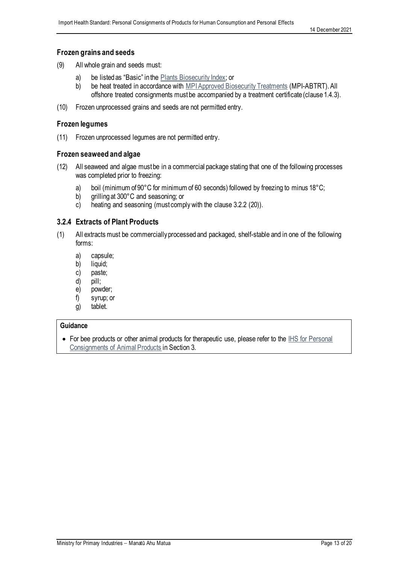#### **Frozen grains and seeds**

- (9) All whole grain and seeds must:
	- a) be listed as "Basic" in the Plants [Biosecurity Index;](https://www1.maf.govt.nz/cgi-bin/bioindex/bioindex.pl) or
	- b) be heat treated in accordance wit[h MPI Approved Biosecurity Treatments](https://www.mpi.govt.nz/dmsdocument/1555/direct) (MPI-ABTRT). All offshore treated consignments must be accompanied by a treatment certificate (clause 1.4.3).
- (10) Frozen unprocessed grains and seeds are not permitted entry.

#### **Frozen legumes**

(11) Frozen unprocessed legumes are not permitted entry.

#### **Frozen seaweed and algae**

- (12) All seaweed and algae must be in a commercial package stating that one of the following processes was completed prior to freezing:
	- a) boil (minimum of 90°C for minimum of 60 seconds) followed by freezing to minus 18°C;
	- b) grilling at 300°C and seasoning; or
	- c) heating and seasoning (must comply with the clause 3.2.2 (20)).

#### **3.2.4 Extracts of Plant Products**

- (1) All extractsmust be commercially processed and packaged, shelf-stable and in one of the following forms:
	- a) capsule;
	- b) liquid;
	- c) paste;
	- d) pill;
	- e) powder;
	- f) syrup; or
	- g) tablet.

#### **Guidance**

• For bee products or other animal products for therapeutic use, please refer to the IHS for Personal [Consignments of Animal Products](https://www.mpi.govt.nz/dmsdocument/39272/direct) in Section 3.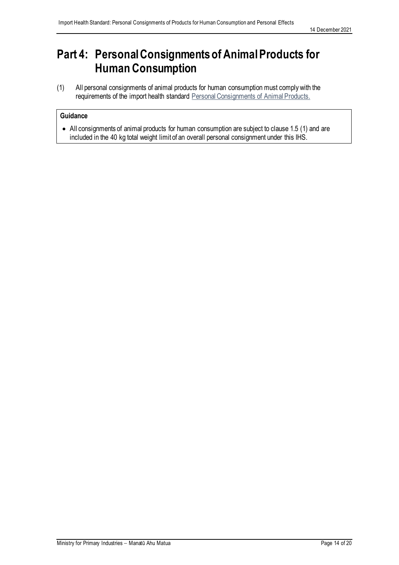# <span id="page-14-0"></span>**Part 4: Personal Consignmentsof Animal Products for Human Consumption**

(1) All personal consignments of animal products for human consumption must comply with the requirements of the import health standard Personal Consignments of Animal Products.

#### **Guidance**

• All consignments of animal products for human consumption are subject to clause 1.5 (1) and are included in the 40 kg total weight limit of an overall personal consignment under this IHS.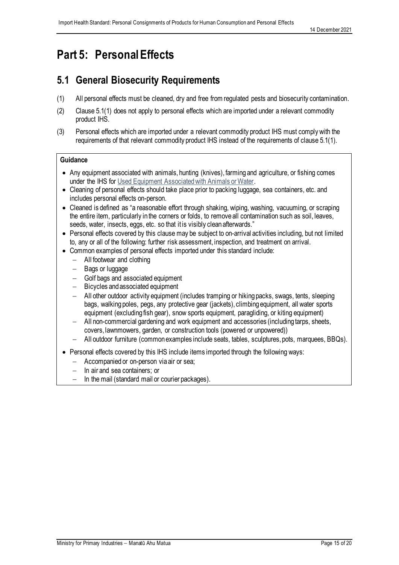# <span id="page-15-0"></span>**Part 5: PersonalEffects**

### <span id="page-15-1"></span>**5.1 General Biosecurity Requirements**

- (1) All personal effects must be cleaned, dry and free from regulated pests and biosecurity contamination.
- (2) Clause 5.1(1) does not apply to personal effects which are imported under a relevant commodity product IHS.
- (3) Personal effects which are imported under a relevant commodity product IHS must comply with the requirements of that relevant commodity product IHS instead of the requirements of clause 5.1(1).

#### **Guidance**

- Any equipment associated with animals, hunting (knives), farming and agriculture, or fishing comes under the IHS for [Used Equipment Associated with Animals or Water.](https://www.mpi.govt.nz/dmsdocument/1157-Used-equipment-associated-with-animals-or-water-Import-Health-Standard)
- Cleaning of personal effects should take place prior to packing luggage, sea containers, etc. and includes personal effects on-person.
- Cleaned is defined as "a reasonable effort through shaking, wiping, washing, vacuuming, or scraping the entire item, particularly in the corners or folds, to remove all contamination such as soil, leaves, seeds, water, insects, eggs, etc. so that it is visibly clean afterwards."
- Personal effects covered by this clause may be subject to on-arrival activities including, but not limited to, any or all of the following: further risk assessment, inspection, and treatment on arrival.
- Common examples of personal effects imported under this standard include:
	- − All footwear and clothing
	- − Bags or luggage
	- − Golf bags and associated equipment
	- − Bicycles and associated equipment
	- − All other outdoor activity equipment (includes tramping or hiking packs, swags, tents, sleeping bags, walking poles, pegs, any protective gear (jackets), climbing equipment, all water sports equipment (excluding fish gear), snow sports equipment, paragliding, or kiting equipment)
	- − All non-commercial gardening and work equipment and accessories (including tarps, sheets, covers, lawnmowers, garden, or construction tools (powered or unpowered))
	- − All outdoor furniture (common examples include seats, tables, sculptures, pots, marquees, BBQs).
- Personal effects covered by this IHS include items imported through the following ways:
	- − Accompanied or on-person via air or sea;
	- In air and sea containers; or
	- In the mail (standard mail or courier packages).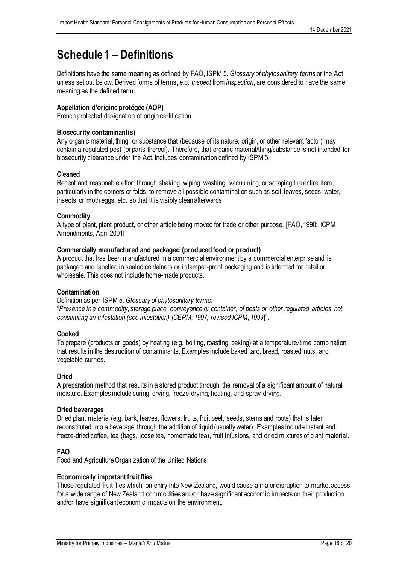# <span id="page-16-0"></span>**Schedule1 – Definitions**

Definitions have the same meaning as defined by FAO, ISPM 5. *Glossary of phytosanitary terms* or the Act unless set out below. Derived forms of terms, e.g. *inspect* from *inspection*, are considered to have the same meaning as the defined term.

#### **Appellation d'origine protégée (AOP)**

French protected designation of origin certification.

#### **Biosecurity contaminant(s)**

Any organic material, thing, or substance that (because of its nature, origin, or other relevant factor) may contain a regulated pest (or parts thereof). Therefore, that organic material/thing/substance is not intended for biosecurity clearance under the Act. Includes contamination defined by ISPM 5.

#### **Cleaned**

Recent and reasonable effort through shaking, wiping, washing, vacuuming, or scraping the entire item, particularly in the corners or folds, to remove all possible contamination such as soil, leaves, seeds, water, insects, or moth eggs, etc. so that it is visibly clean afterwards.

#### **Commodity**

A type of plant, plant product, or other article being moved for trade or other purpose. [FAO, 1990; ICPM Amendments, April 2001]

#### **Commercially manufactured and packaged (produced food or product)**

A product that has been manufactured in a commercial environment by a commercial enterprise and is packaged and labelled in sealed containers or in tamper-proof packaging and is intended for retail or wholesale. This does not include home-made products.

#### **Contamination**

Definition as per ISPM 5. *Glossary of phytosanitary terms*:

"*Presence in a commodity, storage place, conveyance or container, of pests or other regulated articles, not constituting an infestation (see infestation) [CEPM, 1997; revised ICPM, 1999*]".

#### **Cooked**

To prepare (products or goods) by heating (e.g. boiling, roasting, baking) at a temperature/time combination that results in the destruction of contaminants. Examples include baked taro, bread, roasted nuts, and vegetable curries.

#### **Dried**

A preparation method that results in a stored product through the removal of a significant amount of natural moisture. Examples include curing, drying, freeze-drying, heating, and spray-drying.

#### **Dried beverages**

Dried plant material (e.g. bark, leaves, flowers, fruits, fruit peel, seeds, stems and roots) that is later reconstituted into a beverage through the addition of liquid (usually water). Examples include instant and freeze-dried coffee, tea (bags, loose tea, homemade tea), fruit infusions, and dried mixtures of plant material.

#### **FAO**

Food and Agriculture Organization of the United Nations.

#### **Economically important fruit flies**

Those regulated fruit flies which, on entry into New Zealand, would cause a major disruption to market access for a wide range of New Zealand commodities and/or have significant economic impacts on their production and/or have significant economic impacts on the environment.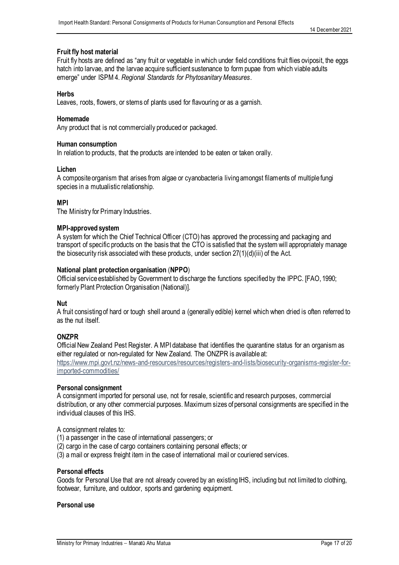#### **Fruit fly host material**

Fruit fly hosts are defined as "any fruit or vegetable in which under field conditions fruit flies oviposit, the eggs hatch into larvae, and the larvae acquire sufficient sustenance to form pupae from which viable adults emerge" under ISPM 4. *Regional Standards for Phytosanitary Measures*.

#### **Herbs**

Leaves, roots, flowers, or stems of plants used for flavouring or as a garnish.

#### **Homemade**

Any product that is not commercially produced or packaged.

#### **Human consumption**

In relation to products, that the products are intended to be eaten or taken orally.

#### **Lichen**

A composite organism that arises from algae or cyanobacteria living amongst filaments of multiple fungi species in a mutualistic relationship.

#### **MPI**

The Ministry for Primary Industries.

#### **MPI-approved system**

A system for which the Chief Technical Officer (CTO) has approved the processing and packaging and transport of specific products on the basis that the CTO is satisfied that the system will appropriately manage the biosecurity risk associated with these products, under section 27(1)(d)(iii) of the Act.

#### **National plant protection organisation** (**NPPO**)

Official service established by Government to discharge the functions specified by the IPPC. [FAO, 1990; formerly Plant Protection Organisation (National)].

#### **Nut**

A fruit consisting of hard or tough shell around a (generally edible) kernel which when dried is often referred to as the nut itself.

#### **ONZPR**

Official New Zealand Pest Register. A MPI database that identifies the quarantine status for an organism as either regulated or non-regulated for New Zealand. The ONZPR is available at:

[https://www.mpi.govt.nz/news-and-resources/resources/registers-and-lists/biosecurity-organisms-register-for](https://www.mpi.govt.nz/news-and-resources/resources/registers-and-lists/biosecurity-organisms-register-for-imported-commodities/)[imported-commodities/](https://www.mpi.govt.nz/news-and-resources/resources/registers-and-lists/biosecurity-organisms-register-for-imported-commodities/)

#### **Personal consignment**

A consignment imported for personal use, not for resale, scientific and research purposes, commercial distribution, or any other commercial purposes. Maximum sizes of personal consignments are specified in the individual clauses of this IHS.

A consignment relates to:

- (1) a passenger in the case of international passengers; or
- (2) cargo in the case of cargo containers containing personal effects; or
- (3) a mail or express freight item in the case of international mail or couriered services.

#### **Personal effects**

Goods for Personal Use that are not already covered by an existing IHS, including but not limited to clothing, footwear, furniture, and outdoor, sports and gardening equipment.

#### **Personal use**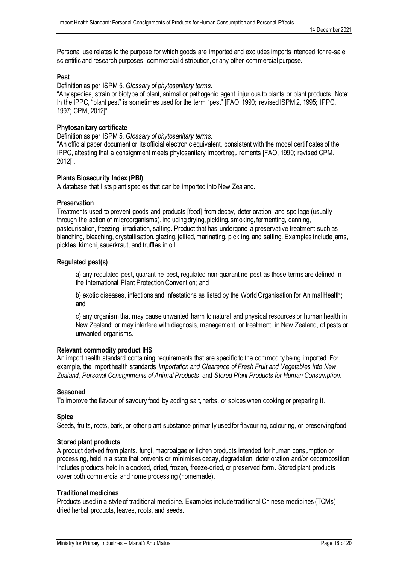Personal use relates to the purpose for which goods are imported and excludes imports intended for re-sale, scientific and research purposes, commercial distribution, or any other commercial purpose.

#### **Pest**

Definition as per ISPM 5. *Glossary of phytosanitary terms:*

"Any species, strain or biotype of plant, animal or pathogenic agent injurious to plants or plant products. Note: In the IPPC, "plant pest" is sometimes used for the term "pest" [FAO, 1990; revised ISPM 2, 1995; IPPC, 1997; CPM, 2012]"

#### **Phytosanitary certificate**

Definition as per ISPM 5. *Glossary of phytosanitary terms:*

"An official paper document or its official electronic equivalent, consistent with the model certificates of the IPPC, attesting that a consignment meets phytosanitary import requirements [FAO, 1990; revised CPM, 2012]".

#### **Plants Biosecurity Index (PBI)**

A database that lists plant species that can be imported into New Zealand.

#### **Preservation**

Treatments used to prevent goods and products [food] from decay, deterioration, and spoilage (usually through the action of microorganisms), including drying, pickling, smoking, fermenting, canning, pasteurisation, freezing, irradiation, salting. Product that has undergone a preservative treatment such as blanching, bleaching, crystallisation, glazing, jellied, marinating, pickling, and salting. Examples include jams, pickles, kimchi, sauerkraut, and truffles in oil.

#### **Regulated pest(s)**

a) any regulated pest, quarantine pest, regulated non-quarantine pest as those terms are defined in the International Plant Protection Convention; and

b) exotic diseases, infections and infestations as listed by the World Organisation for Animal Health; and

c) any organism that may cause unwanted harm to natural and physical resources or human health in New Zealand; or may interfere with diagnosis, management, or treatment, in New Zealand, of pests or unwanted organisms.

#### **Relevant commodity product IHS**

An import health standard containing requirements that are specific to the commodity being imported. For example, the import health standards *Importation and Clearance of Fresh Fruit and Vegetables into New Zealand*, *Personal Consignments of Animal Products*, and *Stored Plant Products for Human Consumption.* 

#### **Seasoned**

To [improve](https://dictionary.cambridge.org/dictionary/english/improve) the [flavour](https://dictionary.cambridge.org/dictionary/english/flavour) of [savoury](https://dictionary.cambridge.org/dictionary/english/savoury) [food](https://dictionary.cambridge.org/dictionary/english/food) by [adding](https://dictionary.cambridge.org/dictionary/english/add) [salt,](https://dictionary.cambridge.org/dictionary/english/salt) [herbs,](https://dictionary.cambridge.org/dictionary/english/herb) or [spices](https://dictionary.cambridge.org/dictionary/english/spice) when [cooking](https://dictionary.cambridge.org/dictionary/english/cooking) or [preparing](https://dictionary.cambridge.org/dictionary/english/prepare) it.

#### **Spice**

Seeds, fruits, roots, bark, or other plant substance primarily used for flavouring, colouring, or preserving food.

#### **Stored plant products**

A product derived from plants, fungi, macroalgae or lichen products intended for human consumption or processing, held in a state that prevents or minimises decay, degradation, deterioration and/or decomposition. Includes products held in a cooked, dried, frozen, freeze-dried, or preserved form. Stored plant products cover both commercial and home processing (homemade).

#### **Traditional medicines**

Products used in a style of traditional medicine. Examples include traditional Chinese medicines (TCMs), dried herbal products, leaves, roots, and seeds.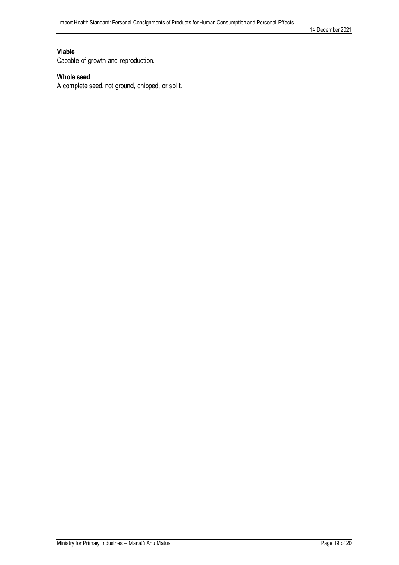14 December 2021

#### **Viable**

Capable of growth and reproduction.

#### **Whole seed**

A complete seed, not ground, chipped, or split.